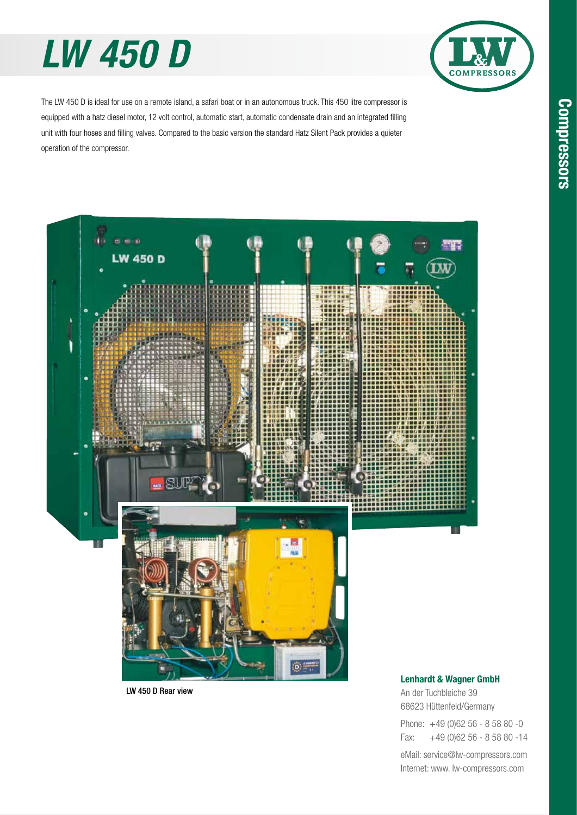# *LW 450 D*



The LW 450 D is ideal for use on a remote island, a safari boat or in an autonomous truck. This 450 litre compressor is equipped with a hatz diesel motor, 12 volt control, automatic start, automatic condensate drain and an integrated filling unit with four hoses and filling valves. Compared to the basic version the standard Hatz Silent Pack provides a quieter operation of the compressor.



LW 450 D Rear view

#### Lenhardt & Wagner GmbH

An der Tuchbleiche 39 68623 Hüttenfeld / Germany Hüttenfeld/Germany Phone: +49 (0)62 56 - 8 58 80 -0

Fax: +49 (0)62 56 - 8 58 80 -14 +49 (0)62 56 - 8 58 80 -14

eMail: service@lw-compressors.com Internet: www. lw-compressors.com